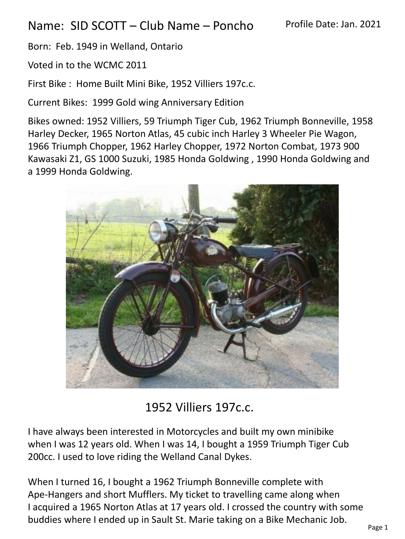## Name: SID SCOTT – Club Name – Poncho

Born: Feb. 1949 in Welland, Ontario

Voted in to the WCMC 2011

First Bike : Home Built Mini Bike, 1952 Villiers 197c.c.

Current Bikes: 1999 Gold wing Anniversary Edition

Bikes owned: 1952 Villiers, 59 Triumph Tiger Cub, 1962 Triumph Bonneville, 1958 Harley Decker, 1965 Norton Atlas, 45 cubic inch Harley 3 Wheeler Pie Wagon, 1966 Triumph Chopper, 1962 Harley Chopper, 1972 Norton Combat, 1973 900 Kawasaki Z1, GS 1000 Suzuki, 1985 Honda Goldwing , 1990 Honda Goldwing and a 1999 Honda Goldwing.



## 1952 Villiers 197c.c.

I have always been interested in Motorcycles and built my own minibike when I was 12 years old. When I was 14, I bought a 1959 Triumph Tiger Cub 200cc. I used to love riding the Welland Canal Dykes.

When I turned 16, I bought a 1962 Triumph Bonneville complete with Ape-Hangers and short Mufflers. My ticket to travelling came along when I acquired a 1965 Norton Atlas at 17 years old. I crossed the country with some buddies where I ended up in Sault St. Marie taking on a Bike Mechanic Job.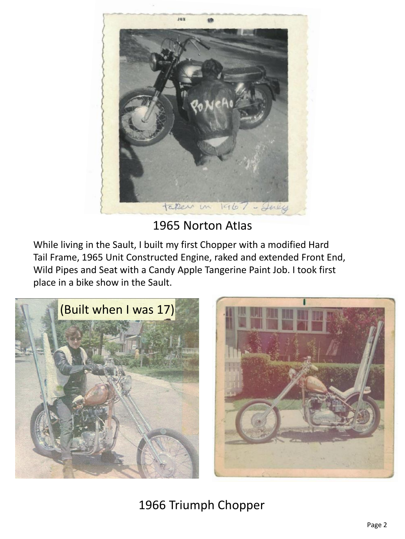

## 1965 Norton Atlas

While living in the Sault, I built my first Chopper with a modified Hard Tail Frame, 1965 Unit Constructed Engine, raked and extended Front End, Wild Pipes and Seat with a Candy Apple Tangerine Paint Job. I took first place in a bike show in the Sault.





1966 Triumph Chopper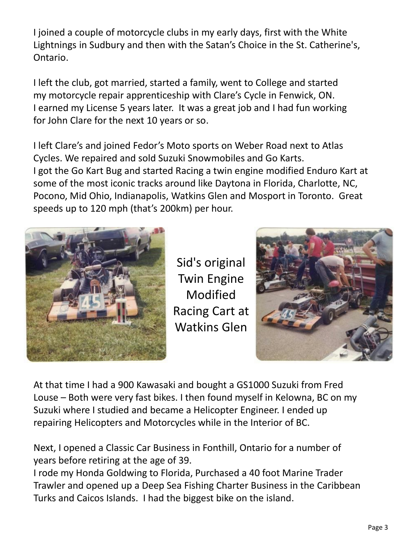I joined a couple of motorcycle clubs in my early days, first with the White Lightnings in Sudbury and then with the Satan's Choice in the St. Catherine's, Ontario.

I left the club, got married, started a family, went to College and started my motorcycle repair apprenticeship with Clare's Cycle in Fenwick, ON. I earned my License 5 years later. It was a great job and I had fun working for John Clare for the next 10 years or so.

I left Clare's and joined Fedor's Moto sports on Weber Road next to Atlas Cycles. We repaired and sold Suzuki Snowmobiles and Go Karts. I got the Go Kart Bug and started Racing a twin engine modified Enduro Kart at some of the most iconic tracks around like Daytona in Florida, Charlotte, NC, Pocono, Mid Ohio, Indianapolis, Watkins Glen and Mosport in Toronto. Great speeds up to 120 mph (that's 200km) per hour.



Sid's original Twin Engine Modified Racing Cart at Watkins Glen



At that time I had a 900 Kawasaki and bought a GS1000 Suzuki from Fred Louse – Both were very fast bikes. I then found myself in Kelowna, BC on my Suzuki where I studied and became a Helicopter Engineer. I ended up repairing Helicopters and Motorcycles while in the Interior of BC.

Next, I opened a Classic Car Business in Fonthill, Ontario for a number of years before retiring at the age of 39.

I rode my Honda Goldwing to Florida, Purchased a 40 foot Marine Trader Trawler and opened up a Deep Sea Fishing Charter Business in the Caribbean Turks and Caicos Islands. I had the biggest bike on the island.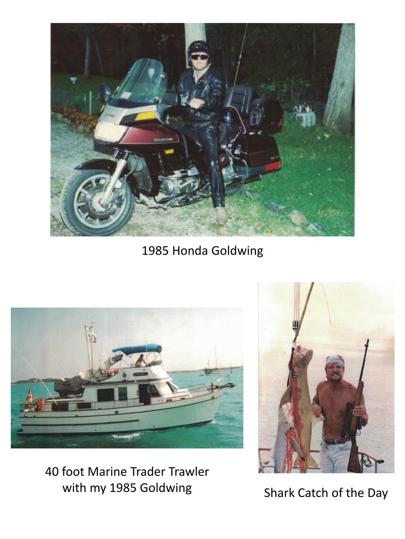

1985 Honda Goldwing



40 foot Marine Trader Trawler with my 1985 Goldwing Shark Catch of the Day

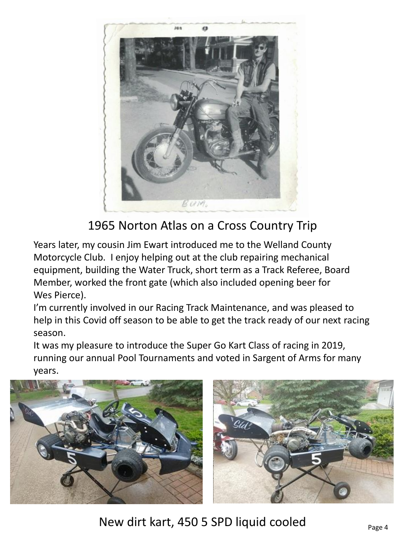

1965 Norton Atlas on a Cross Country Trip

Years later, my cousin Jim Ewart introduced me to the Welland County Motorcycle Club. I enjoy helping out at the club repairing mechanical equipment, building the Water Truck, short term as a Track Referee, Board Member, worked the front gate (which also included opening beer for Wes Pierce).

I'm currently involved in our Racing Track Maintenance, and was pleased to help in this Covid off season to be able to get the track ready of our next racing season.

It was my pleasure to introduce the Super Go Kart Class of racing in 2019, running our annual Pool Tournaments and voted in Sargent of Arms for many years.



New dirt kart, 450 5 SPD liquid cooled